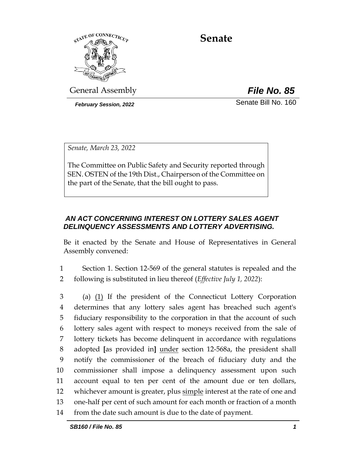

# **Senate**

General Assembly *File No. 85*

*February Session, 2022* Senate Bill No. 160

*Senate, March 23, 2022*

The Committee on Public Safety and Security reported through SEN. OSTEN of the 19th Dist., Chairperson of the Committee on the part of the Senate, that the bill ought to pass.

# *AN ACT CONCERNING INTEREST ON LOTTERY SALES AGENT DELINQUENCY ASSESSMENTS AND LOTTERY ADVERTISING.*

Be it enacted by the Senate and House of Representatives in General Assembly convened:

1 Section 1. Section 12-569 of the general statutes is repealed and the 2 following is substituted in lieu thereof (*Effective July 1, 2022*):

 (a) (1) If the president of the Connecticut Lottery Corporation determines that any lottery sales agent has breached such agent's fiduciary responsibility to the corporation in that the account of such lottery sales agent with respect to moneys received from the sale of lottery tickets has become delinquent in accordance with regulations adopted **[**as provided in**]** under section 12-568a, the president shall notify the commissioner of the breach of fiduciary duty and the commissioner shall impose a delinquency assessment upon such account equal to ten per cent of the amount due or ten dollars, whichever amount is greater, plus simple interest at the rate of one and one-half per cent of such amount for each month or fraction of a month from the date such amount is due to the date of payment.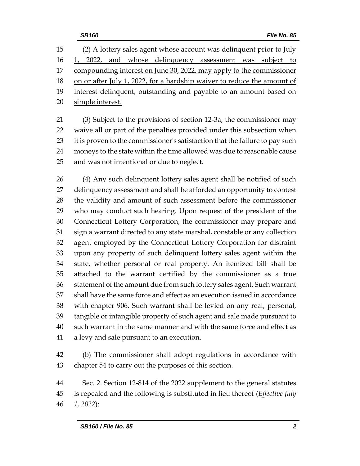(2) A lottery sales agent whose account was delinquent prior to July 16 1, 2022, and whose delinquency assessment was subject to 17 compounding interest on June 30, 2022, may apply to the commissioner on or after July 1, 2022, for a hardship waiver to reduce the amount of 19 interest delinquent, outstanding and payable to an amount based on simple interest.

 (3) Subject to the provisions of section 12-3a, the commissioner may waive all or part of the penalties provided under this subsection when 23 it is proven to the commissioner's satisfaction that the failure to pay such moneys to the state within the time allowed was due to reasonable cause and was not intentional or due to neglect.

 (4) Any such delinquent lottery sales agent shall be notified of such delinquency assessment and shall be afforded an opportunity to contest the validity and amount of such assessment before the commissioner who may conduct such hearing. Upon request of the president of the Connecticut Lottery Corporation, the commissioner may prepare and sign a warrant directed to any state marshal, constable or any collection agent employed by the Connecticut Lottery Corporation for distraint upon any property of such delinquent lottery sales agent within the state, whether personal or real property. An itemized bill shall be attached to the warrant certified by the commissioner as a true statement of the amount due from such lottery sales agent. Such warrant shall have the same force and effect as an execution issued in accordance with chapter 906. Such warrant shall be levied on any real, personal, tangible or intangible property of such agent and sale made pursuant to such warrant in the same manner and with the same force and effect as a levy and sale pursuant to an execution.

 (b) The commissioner shall adopt regulations in accordance with chapter 54 to carry out the purposes of this section.

 Sec. 2. Section 12-814 of the 2022 supplement to the general statutes is repealed and the following is substituted in lieu thereof (*Effective July 1, 2022*):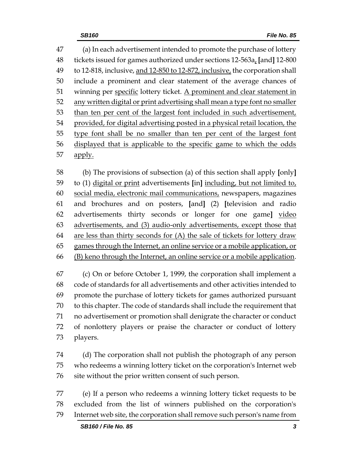(a) In each advertisement intended to promote the purchase of lottery tickets issued for games authorized under sections 12-563a, **[**and**]** 12-800 49 to 12-818, inclusive, and 12-850 to 12-872, inclusive, the corporation shall include a prominent and clear statement of the average chances of 51 winning per specific lottery ticket. A prominent and clear statement in any written digital or print advertising shall mean a type font no smaller than ten per cent of the largest font included in such advertisement, provided, for digital advertising posted in a physical retail location, the type font shall be no smaller than ten per cent of the largest font displayed that is applicable to the specific game to which the odds 57 apply.

 (b) The provisions of subsection (a) of this section shall apply **[**only**]** to (1) digital or print advertisements **[**in**]** including, but not limited to, social media, electronic mail communications, newspapers, magazines and brochures and on posters, **[**and**]** (2) **[**television and radio advertisements thirty seconds or longer for one game**]** video advertisements, and (3) audio-only advertisements, except those that 64 are less than thirty seconds for  $(A)$  the sale of tickets for lottery draw games through the Internet, an online service or a mobile application, or (B) keno through the Internet, an online service or a mobile application.

 (c) On or before October 1, 1999, the corporation shall implement a code of standards for all advertisements and other activities intended to promote the purchase of lottery tickets for games authorized pursuant to this chapter. The code of standards shall include the requirement that no advertisement or promotion shall denigrate the character or conduct of nonlottery players or praise the character or conduct of lottery players.

 (d) The corporation shall not publish the photograph of any person who redeems a winning lottery ticket on the corporation's Internet web site without the prior written consent of such person.

 (e) If a person who redeems a winning lottery ticket requests to be excluded from the list of winners published on the corporation's Internet web site, the corporation shall remove such person's name from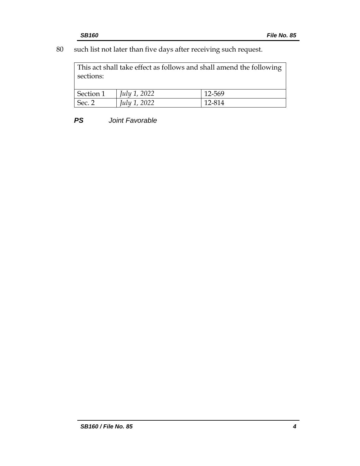80 such list not later than five days after receiving such request.

This act shall take effect as follows and shall amend the following sections:

| Section 1 | $ $ <i>July 1, 2022</i> | 12-569 |
|-----------|-------------------------|--------|
| Sec. 2    | <i>July 1, 2022</i>     | 12-814 |

*PS Joint Favorable*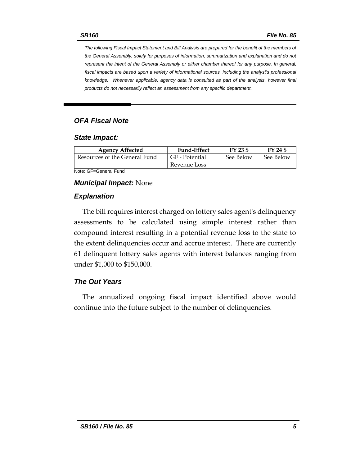*The following Fiscal Impact Statement and Bill Analysis are prepared for the benefit of the members of the General Assembly, solely for purposes of information, summarization and explanation and do not represent the intent of the General Assembly or either chamber thereof for any purpose. In general,*  fiscal impacts are based upon a variety of informational sources, including the analyst's professional *knowledge. Whenever applicable, agency data is consulted as part of the analysis, however final products do not necessarily reflect an assessment from any specific department.*

#### *OFA Fiscal Note*

#### *State Impact:*

| <b>Agency Affected</b>        | <b>Fund-Effect</b> | FY 23 \$  | FY 24 \$  |
|-------------------------------|--------------------|-----------|-----------|
| Resources of the General Fund | GF - Potential     | See Below | See Below |
|                               | Revenue Loss       |           |           |

Note: GF=General Fund

#### *Municipal Impact:* None

#### *Explanation*

The bill requires interest charged on lottery sales agent's delinquency assessments to be calculated using simple interest rather than compound interest resulting in a potential revenue loss to the state to the extent delinquencies occur and accrue interest. There are currently 61 delinquent lottery sales agents with interest balances ranging from under \$1,000 to \$150,000.

#### *The Out Years*

The annualized ongoing fiscal impact identified above would continue into the future subject to the number of delinquencies.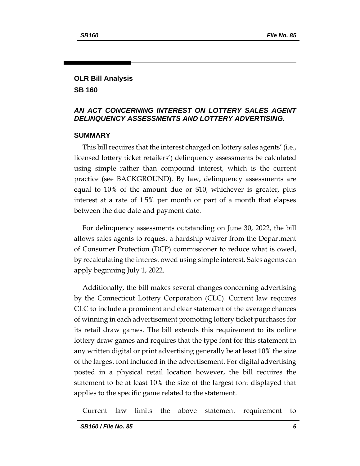# **OLR Bill Analysis SB 160**

### *AN ACT CONCERNING INTEREST ON LOTTERY SALES AGENT DELINQUENCY ASSESSMENTS AND LOTTERY ADVERTISING.*

#### **SUMMARY**

This bill requires that the interest charged on lottery sales agents' (i.e., licensed lottery ticket retailers') delinquency assessments be calculated using simple rather than compound interest, which is the current practice (see BACKGROUND). By law, delinquency assessments are equal to 10% of the amount due or \$10, whichever is greater, plus interest at a rate of 1.5% per month or part of a month that elapses between the due date and payment date.

For delinquency assessments outstanding on June 30, 2022, the bill allows sales agents to request a hardship waiver from the Department of Consumer Protection (DCP) commissioner to reduce what is owed, by recalculating the interest owed using simple interest. Sales agents can apply beginning July 1, 2022.

Additionally, the bill makes several changes concerning advertising by the Connecticut Lottery Corporation (CLC). Current law requires CLC to include a prominent and clear statement of the average chances of winning in each advertisement promoting lottery ticket purchases for its retail draw games. The bill extends this requirement to its online lottery draw games and requires that the type font for this statement in any written digital or print advertising generally be at least 10% the size of the largest font included in the advertisement. For digital advertising posted in a physical retail location however, the bill requires the statement to be at least 10% the size of the largest font displayed that applies to the specific game related to the statement.

Current law limits the above statement requirement to